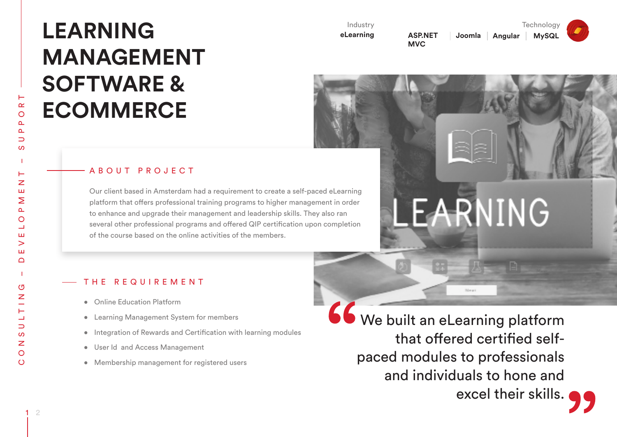# **LEARNING MANAGEMENT SOFTWARE & ECOMMERCE**

Industry

**eLearning**

**ASP.NET MVC** 

ARNING

**Joomla Angular MySQL**

**Technology** 

# ABOUT PROJECT

Our client based in Amsterdam had a requirement to create a self-paced eLearning platform that offers professional training programs to higher management in order to enhance and upgrade their management and leadership skills. They also ran several other professional programs and offered QIP certification upon completion of the course based on the online activities of the members.

## THE REQUIREMENT

- • Online Education Platform
- • Learning Management System for members
- Integration of Rewards and Certification with learning modules
- • User Id and Access Management
- Membership management for registered users

We built an eLearning platform that offered certified selfpaced modules to professionals and individuals to hone and excel their skills.